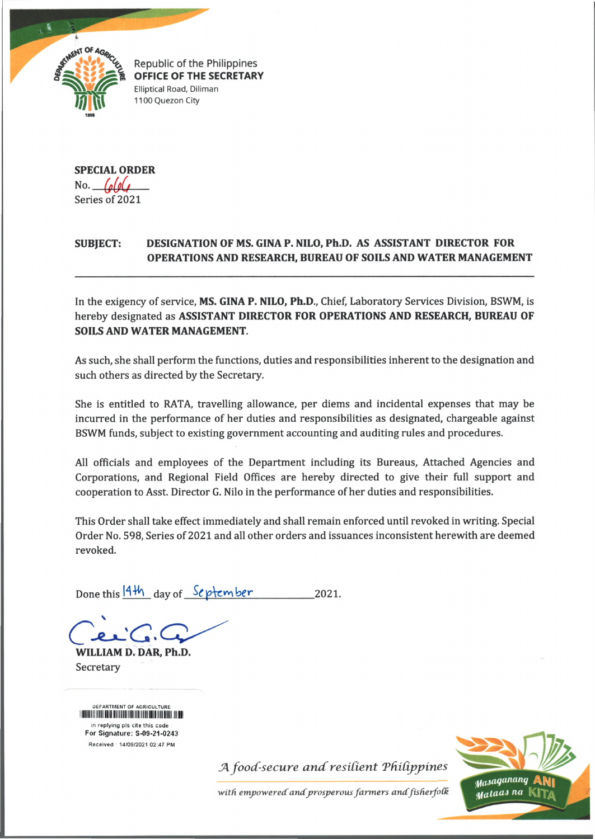

Republic of the Philippines OFFICE OF THE SECRETARY Elliptical Road, Diliman 1100 Quezon City

**SPECIAL ORDER** No. Series of 2021

## **SUBJECT: DESIGNATION OF MS. GINA P. NILO, Ph.D. AS ASSISTANT DIRECTOR FOR OPERATIONS AND RESEARCH, BUREAU OF SOILS AND WATER MANAGEMENT**

In the exigency of service, **MS. GINA P. NILO, Ph.D.,** Chief, Laboratory Services Division, BSWM, is hereby designated as **ASSISTANT DIRECTOR FOR OPERATIONS AND RESEARCH, BUREAU OF SOILS AND WATER MANAGEMENT.**

As such, she shall perform the functions, duties and responsibilities inherent to the designation and such others as directed by the Secretary.

She is entitled to RATA, travelling allowance, per diems and incidental expenses that may be incurred in the performance of her duties and responsibilities as designated, chargeable against BSWM funds, subject to existing government accounting and auditing rules and procedures.

All officials and employees of the Department including its Bureaus, Attached Agencies and Corporations, and Regional Field Offices are hereby directed to give their full support and cooperation to Asst. Director G. Nilo in the performance of her duties and responsibilities.

This Order shall take effect immediately and shall remain enforced until revoked in writing. Special Order No. 598, Series of 2021 and all other orders and issuances inconsistent herewith are deemed revoked.

Done this  $14\frac{1}{11}$  day of  $S$ e ptember 2021.

v

**WILLIAM D. DAR, Ph.D.** Secretary

DEPARTMENT OF AGRICULTURE iiiiiiiiiiiiiim in replying pls cite this code For Signature: S-09-21-0243 Received 14/09/2021 02:47 PM

 $A$  *food-secure and resilient Philippines* 

with empowered and prosperous farmers and fisherfolk